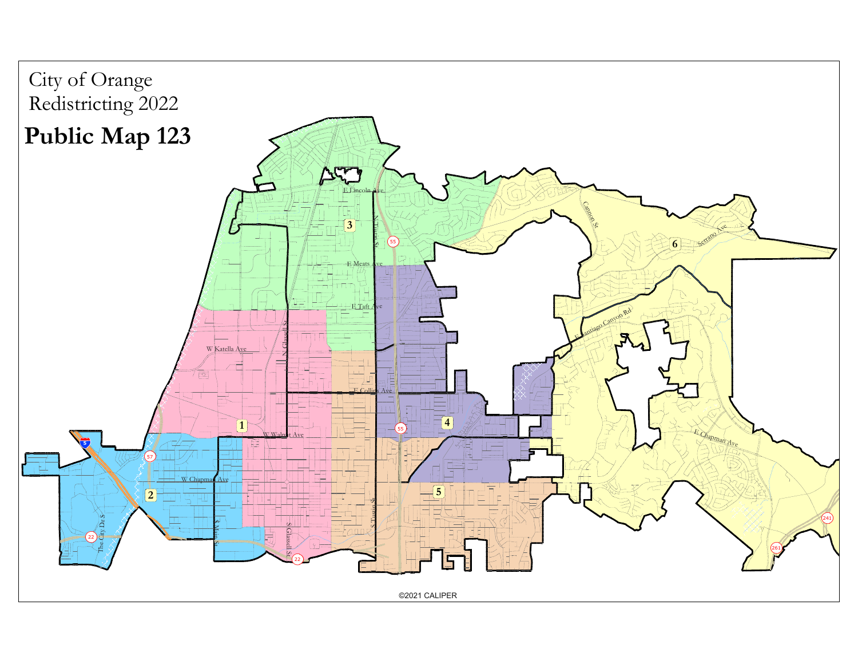